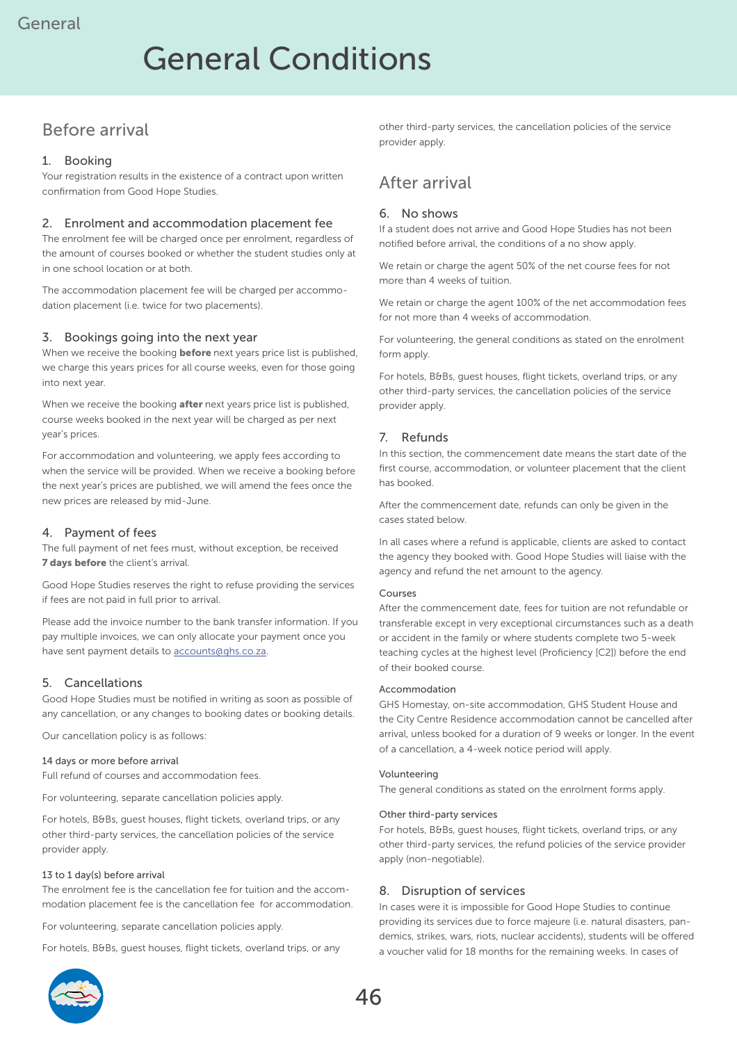# General Conditions

# Before arrival

### 1. Booking

Your registration results in the existence of a contract upon written confirmation from Good Hope Studies.

### 2. Enrolment and accommodation placement fee

The enrolment fee will be charged once per enrolment, regardless of the amount of courses booked or whether the student studies only at in one school location or at both.

The accommodation placement fee will be charged per accommodation placement (i.e. twice for two placements).

### 3. Bookings going into the next year

When we receive the booking **before** next years price list is published, we charge this years prices for all course weeks, even for those going into next year.

When we receive the booking **after** next years price list is published, course weeks booked in the next year will be charged as per next year's prices.

For accommodation and volunteering, we apply fees according to when the service will be provided. When we receive a booking before the next year's prices are published, we will amend the fees once the new prices are released by mid-June.

### 4. Payment of fees

The full payment of net fees must, without exception, be received **7 days before** the client's arrival.

Good Hope Studies reserves the right to refuse providing the services if fees are not paid in full prior to arrival.

Please add the invoice number to the bank transfer information. If you pay multiple invoices, we can only allocate your payment once you have sent payment details to accounts@ghs.co.za.

# 5. Cancellations

Good Hope Studies must be notified in writing as soon as possible of any cancellation, or any changes to booking dates or booking details.

Our cancellation policy is as follows:

#### 14 days or more before arrival

Full refund of courses and accommodation fees.

For volunteering, separate cancellation policies apply.

For hotels, B&Bs, guest houses, flight tickets, overland trips, or any other third-party services, the cancellation policies of the service provider apply.

#### 13 to 1 day(s) before arrival

The enrolment fee is the cancellation fee for tuition and the accommodation placement fee is the cancellation fee for accommodation.

For volunteering, separate cancellation policies apply.

For hotels, B&Bs, guest houses, flight tickets, overland trips, or any

other third-party services, the cancellation policies of the service provider apply.

# After arrival

### 6. No shows

If a student does not arrive and Good Hope Studies has not been notified before arrival, the conditions of a no show apply.

We retain or charge the agent 50% of the net course fees for not more than 4 weeks of tuition.

We retain or charge the agent 100% of the net accommodation fees for not more than 4 weeks of accommodation.

For volunteering, the general conditions as stated on the enrolment form apply.

For hotels, B&Bs, guest houses, flight tickets, overland trips, or any other third-party services, the cancellation policies of the service provider apply.

# 7. Refunds

In this section, the commencement date means the start date of the first course, accommodation, or volunteer placement that the client has booked.

After the commencement date, refunds can only be given in the cases stated below.

In all cases where a refund is applicable, clients are asked to contact the agency they booked with. Good Hope Studies will liaise with the agency and refund the net amount to the agency.

#### Courses

After the commencement date, fees for tuition are not refundable or transferable except in very exceptional circumstances such as a death or accident in the family or where students complete two 5-week teaching cycles at the highest level (Proficiency [C2]) before the end of their booked course.

#### Accommodation

GHS Homestay, on-site accommodation, GHS Student House and the City Centre Residence accommodation cannot be cancelled after arrival, unless booked for a duration of 9 weeks or longer. In the event of a cancellation, a 4-week notice period will apply.

#### Volunteering

The general conditions as stated on the enrolment forms apply.

#### Other third-party services

For hotels, B&Bs, guest houses, flight tickets, overland trips, or any other third-party services, the refund policies of the service provider apply (non-negotiable).

### 8. Disruption of services

In cases were it is impossible for Good Hope Studies to continue providing its services due to force majeure (i.e. natural disasters, pandemics, strikes, wars, riots, nuclear accidents), students will be offered a voucher valid for 18 months for the remaining weeks. In cases of